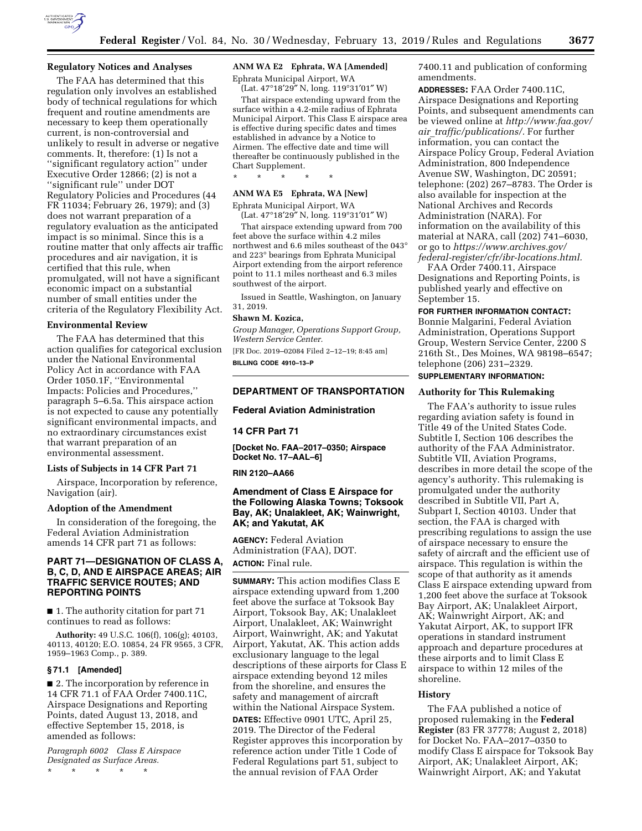

## **Regulatory Notices and Analyses**

The FAA has determined that this regulation only involves an established body of technical regulations for which frequent and routine amendments are necessary to keep them operationally current, is non-controversial and unlikely to result in adverse or negative comments. It, therefore: (1) Is not a ''significant regulatory action'' under Executive Order 12866; (2) is not a ''significant rule'' under DOT Regulatory Policies and Procedures (44 FR 11034; February 26, 1979); and (3) does not warrant preparation of a regulatory evaluation as the anticipated impact is so minimal. Since this is a routine matter that only affects air traffic procedures and air navigation, it is certified that this rule, when promulgated, will not have a significant economic impact on a substantial number of small entities under the criteria of the Regulatory Flexibility Act.

#### **Environmental Review**

The FAA has determined that this action qualifies for categorical exclusion under the National Environmental Policy Act in accordance with FAA Order 1050.1F, ''Environmental Impacts: Policies and Procedures,'' paragraph 5–6.5a. This airspace action is not expected to cause any potentially significant environmental impacts, and no extraordinary circumstances exist that warrant preparation of an environmental assessment.

## **Lists of Subjects in 14 CFR Part 71**

Airspace, Incorporation by reference, Navigation (air).

#### **Adoption of the Amendment**

In consideration of the foregoing, the Federal Aviation Administration amends 14 CFR part 71 as follows:

## **PART 71—DESIGNATION OF CLASS A, B, C, D, AND E AIRSPACE AREAS; AIR TRAFFIC SERVICE ROUTES; AND REPORTING POINTS**

■ 1. The authority citation for part 71 continues to read as follows:

**Authority:** 49 U.S.C. 106(f), 106(g); 40103, 40113, 40120; E.O. 10854, 24 FR 9565, 3 CFR, 1959–1963 Comp., p. 389.

## **§ 71.1 [Amended]**

■ 2. The incorporation by reference in 14 CFR 71.1 of FAA Order 7400.11C, Airspace Designations and Reporting Points, dated August 13, 2018, and effective September 15, 2018, is amended as follows:

*Paragraph 6002 Class E Airspace Designated as Surface Areas.*  \* \* \* \* \*

## **ANM WA E2 Ephrata, WA [Amended]**

Ephrata Municipal Airport, WA

(Lat. 47°18′29″ N, long. 119°31′01″ W) That airspace extending upward from the

surface within a 4.2-mile radius of Ephrata Municipal Airport. This Class E airspace area is effective during specific dates and times established in advance by a Notice to Airmen. The effective date and time will thereafter be continuously published in the Chart Supplement.

#### **ANM WA E5 Ephrata, WA [New]**

\* \* \* \* \*

Ephrata Municipal Airport, WA (Lat. 47°18′29″ N, long. 119°31′01″ W)

That airspace extending upward from 700 feet above the surface within 4.2 miles northwest and 6.6 miles southeast of the 043° and 223° bearings from Ephrata Municipal Airport extending from the airport reference point to 11.1 miles northeast and 6.3 miles southwest of the airport.

Issued in Seattle, Washington, on January 31, 2019.

#### **Shawn M. Kozica,**

*Group Manager, Operations Support Group, Western Service Center.* 

[FR Doc. 2019–02084 Filed 2–12–19; 8:45 am] **BILLING CODE 4910–13–P** 

## **DEPARTMENT OF TRANSPORTATION**

#### **Federal Aviation Administration**

## **14 CFR Part 71**

**[Docket No. FAA–2017–0350; Airspace Docket No. 17–AAL–6]** 

#### **RIN 2120–AA66**

**Amendment of Class E Airspace for the Following Alaska Towns; Toksook Bay, AK; Unalakleet, AK; Wainwright, AK; and Yakutat, AK** 

**AGENCY:** Federal Aviation Administration (FAA), DOT. **ACTION:** Final rule.

**SUMMARY:** This action modifies Class E airspace extending upward from 1,200 feet above the surface at Toksook Bay Airport, Toksook Bay, AK; Unalakleet Airport, Unalakleet, AK; Wainwright Airport, Wainwright, AK; and Yakutat Airport, Yakutat, AK. This action adds exclusionary language to the legal descriptions of these airports for Class E airspace extending beyond 12 miles from the shoreline, and ensures the safety and management of aircraft within the National Airspace System.

**DATES:** Effective 0901 UTC, April 25, 2019. The Director of the Federal Register approves this incorporation by reference action under Title 1 Code of Federal Regulations part 51, subject to the annual revision of FAA Order

7400.11 and publication of conforming amendments.

**ADDRESSES:** FAA Order 7400.11C, Airspace Designations and Reporting Points, and subsequent amendments can be viewed online at *[http://www.faa.gov/](http://www.faa.gov/air_traffic/publications/) air*\_*[traffic/publications/.](http://www.faa.gov/air_traffic/publications/)* For further information, you can contact the Airspace Policy Group, Federal Aviation Administration, 800 Independence Avenue SW, Washington, DC 20591; telephone: (202) 267–8783. The Order is also available for inspection at the National Archives and Records Administration (NARA). For information on the availability of this material at NARA, call (202) 741–6030, or go to *[https://www.archives.gov/](https://www.archives.gov/federal-register/cfr/ibr-locations.html)  [federal-register/cfr/ibr-locations.html.](https://www.archives.gov/federal-register/cfr/ibr-locations.html)* 

FAA Order 7400.11, Airspace Designations and Reporting Points, is published yearly and effective on September 15.

#### **FOR FURTHER INFORMATION CONTACT:**

Bonnie Malgarini, Federal Aviation Administration, Operations Support Group, Western Service Center, 2200 S 216th St., Des Moines, WA 98198–6547; telephone (206) 231–2329. **SUPPLEMENTARY INFORMATION:** 

## **Authority for This Rulemaking**

The FAA's authority to issue rules regarding aviation safety is found in Title 49 of the United States Code. Subtitle I, Section 106 describes the authority of the FAA Administrator. Subtitle VII, Aviation Programs, describes in more detail the scope of the agency's authority. This rulemaking is promulgated under the authority described in Subtitle VII, Part A, Subpart I, Section 40103. Under that section, the FAA is charged with prescribing regulations to assign the use of airspace necessary to ensure the safety of aircraft and the efficient use of airspace. This regulation is within the scope of that authority as it amends Class E airspace extending upward from 1,200 feet above the surface at Toksook Bay Airport, AK; Unalakleet Airport, AK; Wainwright Airport, AK; and Yakutat Airport, AK, to support IFR operations in standard instrument approach and departure procedures at these airports and to limit Class E airspace to within 12 miles of the shoreline.

#### **History**

The FAA published a notice of proposed rulemaking in the **Federal Register** (83 FR 37778; August 2, 2018) for Docket No. FAA–2017–0350 to modify Class E airspace for Toksook Bay Airport, AK; Unalakleet Airport, AK; Wainwright Airport, AK; and Yakutat